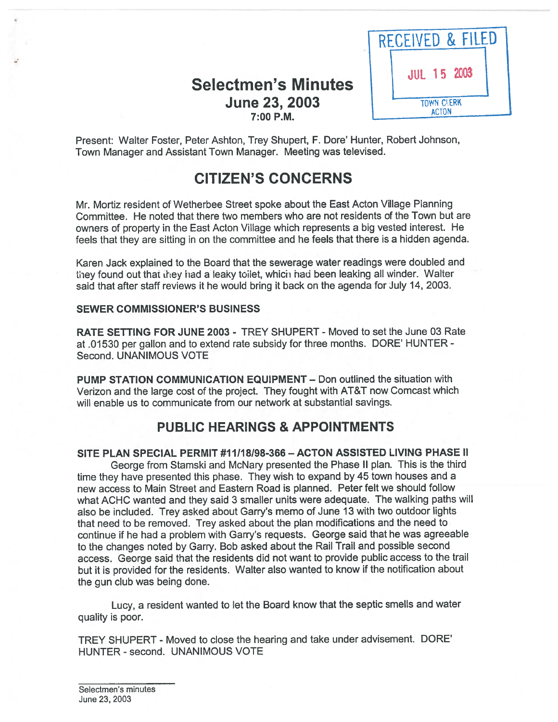# Selectmen's Minutes June 23, 2003 7:00 P.M.



Present: Walter Foster, Peter Ashton, Trey Shupert, F. Dore' Hunter, Robert Johnson, Town Manager and Assistant Town Manager. Meeting was televised.

# CITIZEN'S CONCERNS

Mr. Mortiz resident of Wetherbee Street spoke about the East Acton Village Planning Committee. He noted that there two members who are not residents of the Town but are owners of property in the East Acton Village which represents <sup>a</sup> big vested interest. He feels that they are sitting in on the committee and he feels that there is <sup>a</sup> hidden agenda.

Karen Jack explained to the Board that the sewerage water readings were doubled and they found out that they had a leaky toilet, which had been leaking all winder. Walter said that after staff reviews it he would bring it back on the agenda for July 14, 2003.

### SEWER COMMISSIONER'S BUSINESS

RATE SETTING FOR JUNE 2003 - TREY SHUPERT -Moved to set the June 03 Rate at .01530 per gallon and to extend rate subsidy for three months. DORE' HUNTER - Second. UNANIMOUS VOTE

PUMP STATION COMMUNICATION EQUIPMENT — Don outlined the situation with Verizon and the large cost of the project. They fought with AT&T now Comcast which will enable us to communicate from our network at substantial savings.

# PUBLIC HEARINGS & APPOINTMENTS

SITE PLAN SPECIAL PERMIT #11/18/98-366 - ACTON ASSISTED LIVING PHASE II George from Stamski and McNary presented the Phase II <sup>p</sup>lan. This is the third time they have presented this <sup>p</sup>hase. They wish to expan<sup>d</sup> by <sup>45</sup> town houses and <sup>a</sup> new access to Main Street and Eastern Road is planned. Peter felt we should follow what ACHC wanted and they said <sup>3</sup> smaller units were adequate. The walking paths will also be included. Trey asked about Garry's memo of June <sup>13</sup> with two outdoor lights that need to be removed. Trey asked about the <sup>p</sup>lan modifications and the need to continue if he had <sup>a</sup> problem with Garry's requests. George said that he was agreeable to the changes noted by Garry. Bob asked about the Rail Trail and possible second access. George said that the residents did not want to provide public access to the trail but it is provided for the residents. Walter also wanted to know if the notification about the gun club was being done.

Lucy, <sup>a</sup> resident wanted to let the Board know that the septic smells and water quality is poor.

TREY SHUPERT - Moved to close the hearing and take under advisement. DORE' HUNTER - second. UNANIMOUS VOTE

Selectmen's minutes June 23, 2003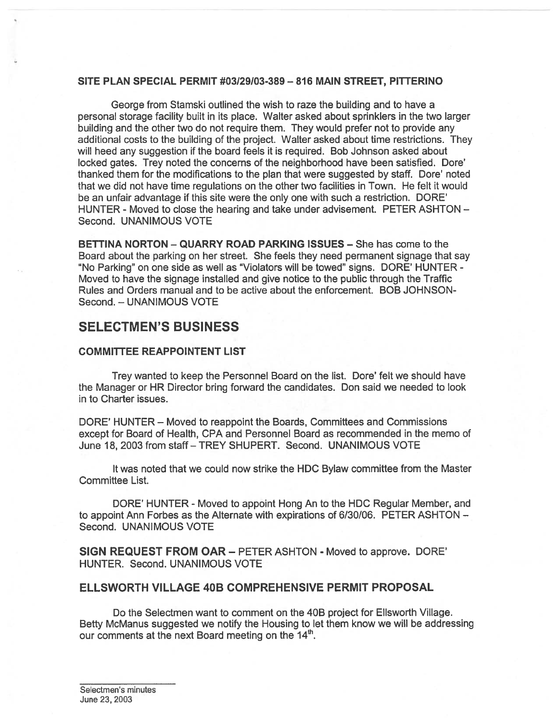#### SITE PLAN SPECIAL PERMIT  $\#03/29/03-389-816$  MAIN STREET, PITTERINO

George from Stamski outlined the wish to raze the building and to have <sup>a</sup> personal storage facility built in its place. Walter asked about sprinklers in the two larger building and the other two do not require them. They would prefer not to provide any additional costs to the building of the project. Walter asked about time restrictions. They will heed any suggestion if the board feels it is required. Bob Johnson asked about locked gates. Trey noted the concerns of the neighborhood have been satisfied. Dore' thanked them for the modifications to the plan that were suggested by staff. Dore' noted that we did not have time regulations on the other two facilities in Town. He felt it would be an unfair advantage if this site were the only one with such <sup>a</sup> restriction. DORE' HUNTER - Moved to close the hearing and take under advisement. PETER ASHTON — Second. UNANIMOUS VOTE

BETTINA NORTON — QUARRY ROAD PARKING ISSUES — She has come to the Board about the parking on her street. She feels they need permanen<sup>t</sup> signage that say "No Parking" on one side as well as "Violators will be towed" signs. DORE' HUNTER - Moved to have the signage installed and give notice to the public through the Traffic Rules and Orders manual and to be active about the enforcement. BOB JOHNSON-Second. — UNANIMOUS VOTE

### SELECTMEN'S BUSINESS

### COMMITTEE REAPPOINTENT LIST

Trey wanted to keep the Personnel Board on the list. Dore' felt we should have the Manager or HR Director bring forward the candidates. Don said we needed to look in to Charter issues.

DORE' HUNTER – Moved to reappoint the Boards, Committees and Commissions excep<sup>t</sup> for Board of Health, CPA and Personnel Board as recommended in the memo of June 18, 2003 from staff - TREY SHUPERT. Second. UNANIMOUS VOTE

It was noted that we could now strike the HDC Bylaw committee from the Master Committee List.

DORE' HUNTER - Moved to appoint Hong An to the HDC Regular Member, and to appoint Ann Forbes as the Alternate with expirations of 6/30/06. PETER ASHTON — Second. UNANIMOUS VOTE

SIGN REQUEST FROM OAR — PETER ASHTON - Moved to approve. DORE' HUNTER. Second. UNANIMOUS VOTE

### ELLSWORTH VILLAGE 40B COMPREHENSIVE PERMIT PROPOSAL

Do the Selectmen want to comment on the 40B project for Ellsworth Village. Betty McManus suggested we notify the Housing to let them know we will be addressing our comments at the next Board meeting on the  $14<sup>th</sup>$ .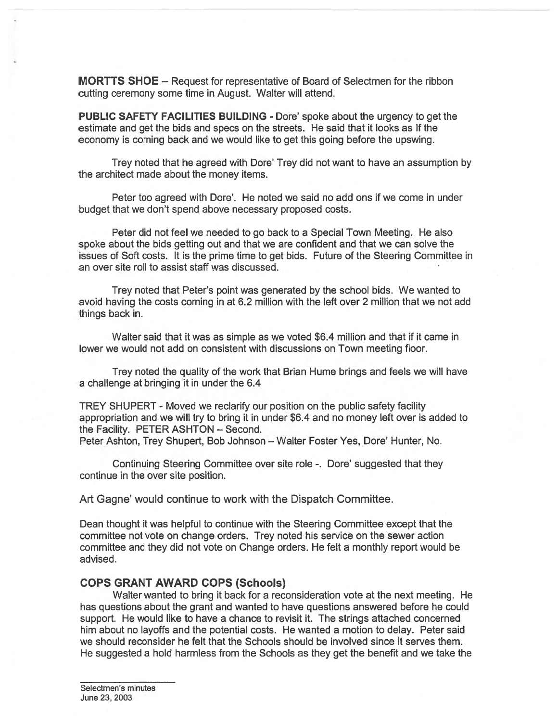MORTTS SHOE — Request for representative of Board of Selectmen for the ribbon cutting ceremony some time in August. Walter will attend.

PUBLIC SAFETY FACILITIES BUILDING - Dore' spoke about the urgency to ge<sup>t</sup> the estimate and ge<sup>t</sup> the bids and specs on the streets. He said that it looks as If the economy is coming back and we would like to ge<sup>t</sup> this going before the upswing.

Trey noted that he agreed with Dore' Trey did not want to have an assumption by the architect made about the money items.

Peter too agreed with Dore'. He noted we said no add ons if we come in under budget that we don't spend above necessary proposed costs.

Peter did not feel we needed to go back to <sup>a</sup> Special Town Meeting. He also spoke about the bids getting out and that we are confident and that we can solve the issues of Soft costs. It is the prime time to ge<sup>t</sup> bids. Future of the Steering Committee in an over site roll to assist staff was discussed.

Trey noted that Peter's point was generated by the school bids. We wanted to avoid having the costs coming in at 6.2 million with the left over 2 million that we not add things back in.

Walter said that it was as simple as we voted \$6.4 million and that if it came in lower we would not add on consistent with discussions on Town meeting floor.

Trey noted the quality of the work that Brian Hume brings and feels we will have <sup>a</sup> challenge at bringing it in under the 6.4

TREY SHUPERT - Moved we reclarify our position on the public safety facility appropriation and we will try to bring it in under \$6.4 and no money left over is added to the Facility. PETER ASHTON — Second.

Peter Ashton, Trey Shupert, Bob Johnson - Walter Foster Yes, Dore' Hunter, No.

Continuing Steering Committee over site role -. Dore' suggested that they continue in the over site position.

Art Gagne' would continue to work with the Dispatch Committee.

Dean thought it was helpful to continue with the Steering Committee excep<sup>t</sup> that the committee not vote on change orders. Trey noted his service on the sewer action committee and they did not vote on Change orders. He felt <sup>a</sup> monthly repor<sup>t</sup> would be advised.

#### COPS GRANT AWARD COPS (Schools)

Walter wanted to bring it back for <sup>a</sup> reconsideration vote at the next meeting. He has questions about the gran<sup>t</sup> and wanted to have questions answered before he could support. He would like to have <sup>a</sup> chance to revisit it. The strings attached concerned him about no layoffs and the potential costs. He wanted <sup>a</sup> motion to delay. Peter said we should reconsider he felt that the Schools should be involved since it serves them. He suggested <sup>a</sup> hold harmless from the Schools as they ge<sup>t</sup> the benefit and we take the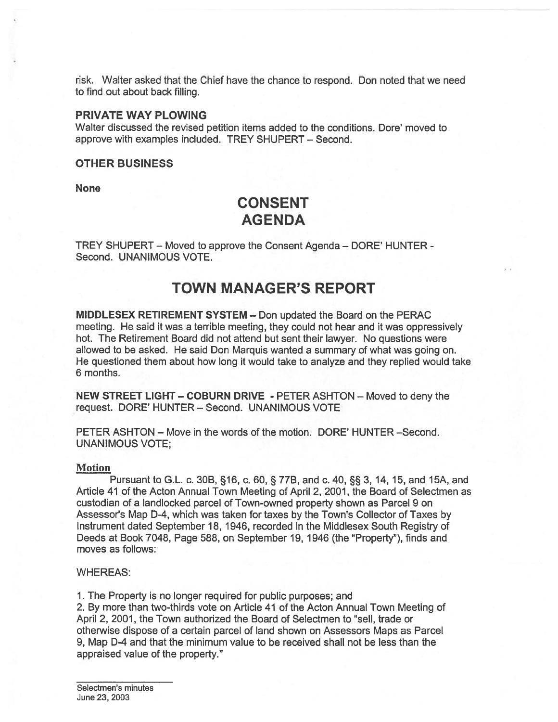risk. Walter asked that the Chief have the chance to respond. Don noted that we need to find out about back filling.

### PRIVATE WAY PLOWING

Walter discussed the revised petition items added to the conditions. Dote' moved to approve with examples included. TREY SHUPERT — Second.

### OTHER BUSINESS

None

# CONSENT AGENDA

TREY SHUPERT — Moved to approve the Consent Agenda — DORE' HUNTER - Second. UNANIMOUS VOTE.

# TOWN MANAGER'S REPORT

MIDDLESEX RETIREMENT SYSTEM — Don updated the Board on the PERAC meeting. He said it was a terrible meeting, they could not hear and it was oppressively hot. The Retirement Board did not attend but sent their lawyer. No questions were allowed to be asked. He said Don Marquis wanted <sup>a</sup> summary of what was going on. He questioned them about how long it would take to analyze and they replied would take 6 months.

NEW STREET LIGHT — COBURN DRIVE - PETER ASHTON — Moved to deny the request. DORE' HUNTER — Second. UNANIMOUS VOTE

PETER ASHTON — Move in the words of the motion. DORE' HUNTER —Second. UNANIMOUS VOTE;

### Motion

Pursuant to G.L. c. 30B, §16, c. 60, § 77B, and c. 40, § 3, 14, 15, and 15A, and Article <sup>41</sup> of the Acton Annual Town Meeting of April 2, 2001, the Board of Selectmen as custodian of <sup>a</sup> landlocked parcel of Town-owned property shown as Parcel 9 on Assessor's Map D-4, which was taken for taxes by the Town's Collector of Taxes by Instrument dated September 18, 1946, recorded in the Middlesex South Registry of Deeds at Book 7048, Page 588, on September 19, 1946 (the "Property"), finds and moves as follows:

#### WHEREAS:

1. The Property is no longer required for public purposes; and

2. By more than two-thirds vote on Article 41 of the Acton Annual Town Meeting of April 2, 2001, the Town authorized the Board of Selectmen to "sell, trade or otherwise dispose of <sup>a</sup> certain parcel of land shown on Assessors Maps as Parcel 9, Map D-4 and that the minimum value to be received shall not be less than the appraised value of the property."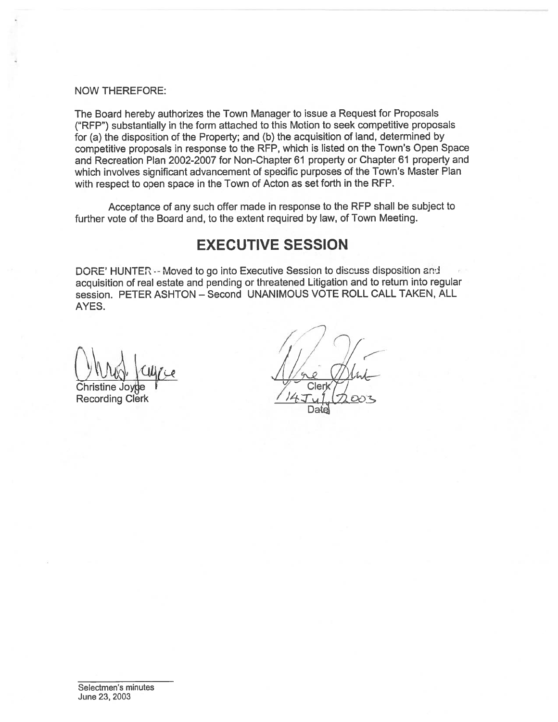### NOW THEREFORE:

The Board hereby authorizes the Town Manager to issue <sup>a</sup> Request for Proposals ("REP") substantially in the form attached to this Motion to seek competitive proposals for (a) the disposition of the Property; and (b) the acquisition of land, determined by competitive proposals in response to the RFP, which is listed on the Town's Open Space and Recreation Plan 2002-2007 for Non-Chapter 61 property or Chapter 61 property and which involves significant advancement of specific purposes of the Town's Master Plan with respec<sup>t</sup> to open space in the Town of Acton as set forth in the REP.

Acceptance of any such offer made in response to the RFP shall be subject to further vote of the Board and, to the extent required by law, of Town Meeting.

# EXECUTIVE SESSION

DORE' HUNTER -- Moved to go into Executive Session to discuss disposition and acquisition of real estate and pending or threatened Litigation and to return into regular session. PETER ASHTON — Second UNANIMOUS VOTE ROLL CALL TAKEN, ALL AYES.

**Recording Clerk** 

7  $\widehat{\phantom{a}}$ <sup>7</sup> / Christine Joyge *I* Clerk T

Date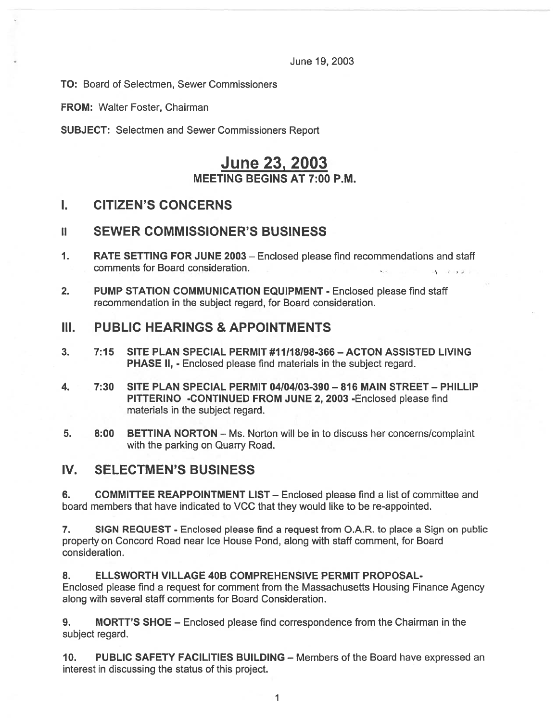June 19, 2003

TO: Board of Selectmen, Sewer Commissioners

FROM: Walter Foster, Chairman

SUBJECT: Selectmen and Sewer Commissioners Report

# June 23, 2003 MEETING BEGINS AT 7:00 P.M.

### I. CITIZEN'S CONCERNS

### II SEWER COMMISSIONER'S BUSINESS

- 1. RATE SETTING FOR JUNE 2003 Enclosed please find recommendations and staff comments for Board consideration.
- 2. PUMP STATION COMMUNICATION EQUIPMENT Enclosed please find staff recommendation in the subject regard, for Board consideration.

# III. PUBLIC HEARINGS & APPOINTMENTS

- 3. 7:15 SITE PLAN SPECIAL PERMIT #11/18I98-366—ACTON ASSISTED LIVING PHASE II, - Enclosed please find materials in the subject regard.
- 4. 7:30 SITE PLAN SPECIAL PERMIT 04104103-390 816 MAIN STREET PHILLIP PITTERINO -CONTINUED FROM JUNE 2, 2003 -Enclosed please find materials in the subject regard.
- 5. 8:00 BETTINA NORTON Ms. Norton will be in to discuss her concerns/complaint with the parking on Quarry Road.

# IV. SELECTMEN'S BUSINESS

6. COMMITTEE REAPPOINTMENT LIST — Enclosed please find <sup>a</sup> list of committee and board members that have indicated to VCC that they would like to be re-appointed.

7. SIGN REQUEST - Enclosed please find a request from O.A.R. to place a Sign on public property on Concord Road near Ice House Pond, along with staff comment, for Board consideration.

### 8. ELLSWORTH VILLAGE 40B COMPREHENSIVE PERMIT PROPOSAL-

Enclosed please find <sup>a</sup> reques<sup>t</sup> for comment from the Massachusetts Housing Finance Agency along with several staff comments for Board Consideration.

9. MORTT'S SHOE — Enclosed please find correspondence from the Chairman in the subject regard.

10. PUBLIC SAFETY FACILITIES BUILDING — Members of the Board have expressed an interest in discussing the status of this project.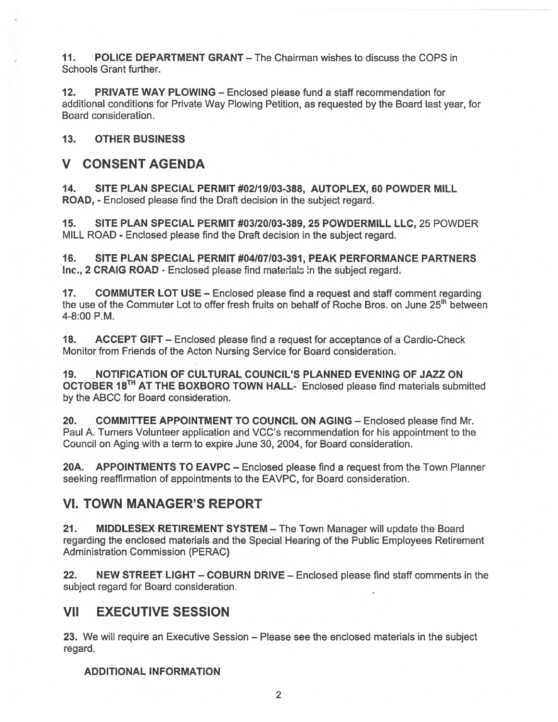11. POLICE DEPARTMENT GRANT – The Chairman wishes to discuss the COPS in Schools Grant further.

12. PRIVATE WAY PLOWING — Enclosed please fund <sup>a</sup> staff recommendation for additional conditions for Private Way Plowing Petition, as requested by the Board last year, for Board consideration.

13. OTHER BUSINESS

### V CONSENT AGENDA

14. SITE PLAN SPECIAL PERMIT #02/19/03-388, AUTOPLEX, 60 POWDER MILL ROAD, - Enclosed please find the Draft decision in the subject regard.

15. SITE PLAN SPECIAL PERMIT #03/20/03-389, 25 POWDERMILL LLC, 25 POWDER MILL ROAD - Enclosed please find the Draft decision in the subject regard.

16. SITE PLAN SPECIAL PERMIT #04/07/03-391, PEAK PERFORMANCE PARTNERS Inc., 2 CRAIG ROAD - Enclosed please find materials in the subject regard.

17. COMMUTER LOT USE — Enclosed please find <sup>a</sup> reques<sup>t</sup> and staff comment regarding the use of the Commuter Lot to offer fresh fruits on behalf of Roche Bros. on June 25<sup>th</sup> between 4-8:00 P.M.

18. ACCEPT GIFT — Enclosed please find <sup>a</sup> reques<sup>t</sup> for acceptance of <sup>a</sup> Cardio-Check Monitor from Friends of the Acton Nursing Service for Board consideration.

19. NOTIFICATION OF CULTURAL COUNCIL'S PLANNED EVENING OF JAZZ ON OCTOBER 18TH AT THE BOXBORO TOWN HALL- Enclosed <sup>p</sup>lease find materials submitted by the ABCC for Board consideration.

20. COMMITTEE APPOINTMENT TO COUNCIL ON AGING — Enclosed please find Mr. Paul A. Turners Volunteer application and VCC's recommendation for his appointment to the Council on Aging with <sup>a</sup> term to expire June 30, 2004, for Board consideration.

20A. APPOINTMENTS TO EAVPC - Enclosed please find a request from the Town Planner seeking reaffirmation of appointments to the EAVPC, for Board consideration.

### VI. TOWN MANAGER'S REPORT

21. MIDDLESEX RETIREMENT SYSTEM – The Town Manager will update the Board regarding the enclosed materials and the Special Hearing of the Public Employees Retirement Administration Commission (PERAC)

22. NEW STREET LIGHT – COBURN DRIVE – Enclosed please find staff comments in the subject regard for Board consideration.

# VII EXECUTIVE SESSION

23. We will require an Executive Session — Please see the enclosed materials in the subject regard.

### ADDITIONAL INFORMATION